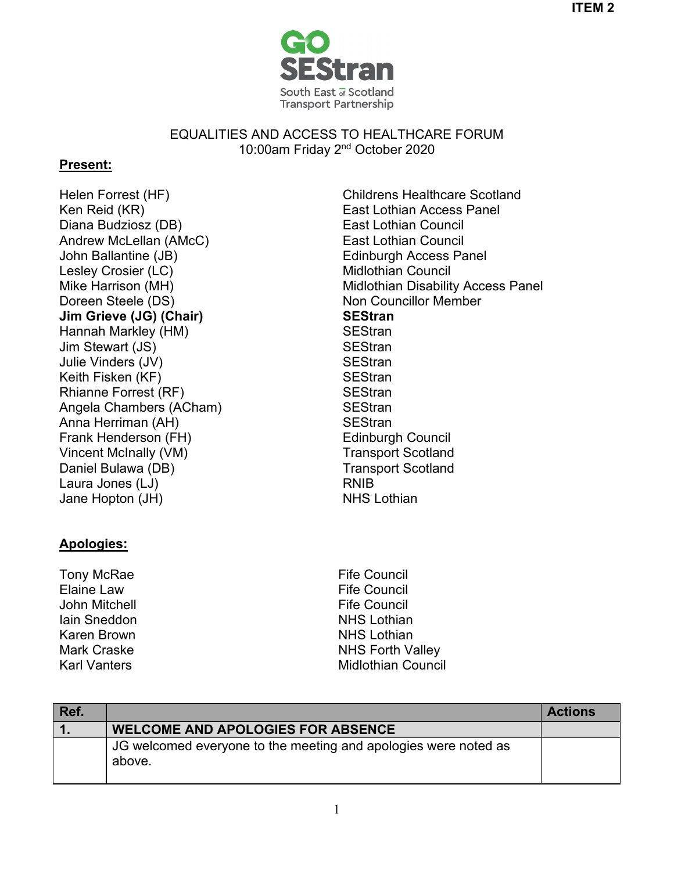



EQUALITIES AND ACCESS TO HEALTHCARE FORUM 10:00am Friday 2nd October 2020

## **Present:**

Ken Reid (KR) East Lothian Access Panel Diana Budziosz (DB) Andrew McLellan (AMcC) John Ballantine (JB) The Common School Edinburgh Access Panel Lesley Crosier (LC) and the Midlothian Council Mike Harrison (MH) Doreen Steele (DS) **Jim Grieve (JG) (Chair)** Hannah Markley (HM) SEStran Jim Stewart (JS) SEStran Julie Vinders (JV) SEStran Keith Fisken (KF) SEStran Rhianne Forrest (RF) Angela Chambers (ACham) Anna Herriman (AH) Frank Henderson (FH) Vincent McInally (VM) Daniel Bulawa (DB) Laura Jones (LJ) Jane Hopton (JH)

## **Apologies:**

Tony McRae Elaine Law John Mitchell Iain Sneddon Karen Brown Mark Craske Karl Vanters

Helen Forrest (HF) Childrens Healthcare Scotland East Lothian Council East Lothian Council Midlothian Disability Access Panel Non Councillor Member **SEStran SEStran SEStran SEStran** Edinburgh Council Transport Scotland Transport Scotland RNIB NHS Lothian

> Fife Council Fife Council Fife Council NHS Lothian NHS Lothian NHS Forth Valley Midlothian Council

| Ref. |                                                                           | <b>Actions</b> |
|------|---------------------------------------------------------------------------|----------------|
|      | <b>WELCOME AND APOLOGIES FOR ABSENCE</b>                                  |                |
|      | JG welcomed everyone to the meeting and apologies were noted as<br>above. |                |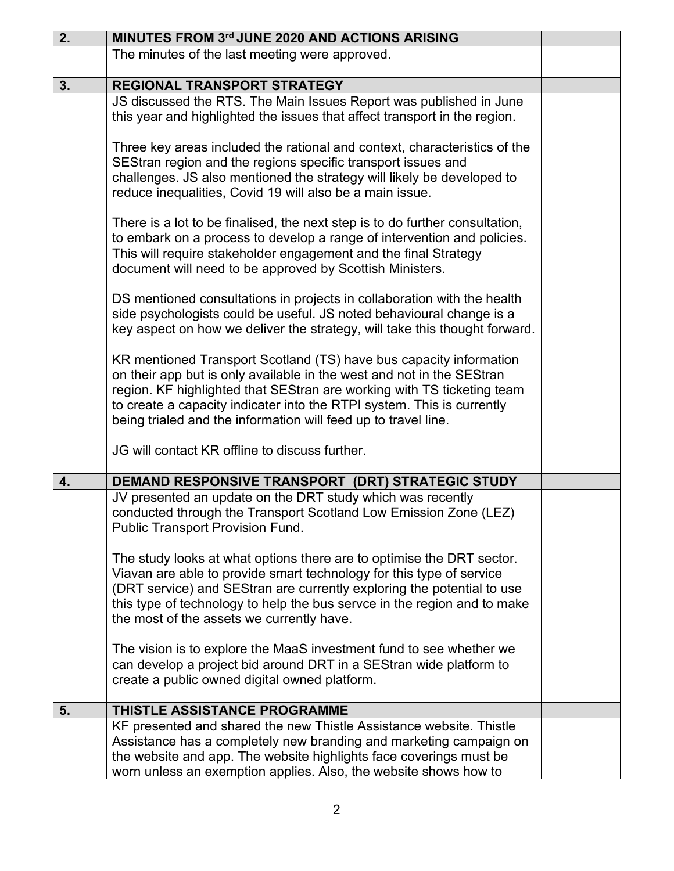| 2. | MINUTES FROM 3rd JUNE 2020 AND ACTIONS ARISING                                                                                                                                                                                                                                                                                                                    |  |
|----|-------------------------------------------------------------------------------------------------------------------------------------------------------------------------------------------------------------------------------------------------------------------------------------------------------------------------------------------------------------------|--|
|    | The minutes of the last meeting were approved.                                                                                                                                                                                                                                                                                                                    |  |
| 3. | <b>REGIONAL TRANSPORT STRATEGY</b>                                                                                                                                                                                                                                                                                                                                |  |
|    | JS discussed the RTS. The Main Issues Report was published in June<br>this year and highlighted the issues that affect transport in the region.                                                                                                                                                                                                                   |  |
|    | Three key areas included the rational and context, characteristics of the<br>SEStran region and the regions specific transport issues and<br>challenges. JS also mentioned the strategy will likely be developed to<br>reduce inequalities, Covid 19 will also be a main issue.                                                                                   |  |
|    | There is a lot to be finalised, the next step is to do further consultation,<br>to embark on a process to develop a range of intervention and policies.<br>This will require stakeholder engagement and the final Strategy<br>document will need to be approved by Scottish Ministers.                                                                            |  |
|    | DS mentioned consultations in projects in collaboration with the health<br>side psychologists could be useful. JS noted behavioural change is a<br>key aspect on how we deliver the strategy, will take this thought forward.                                                                                                                                     |  |
|    | KR mentioned Transport Scotland (TS) have bus capacity information<br>on their app but is only available in the west and not in the SEStran<br>region. KF highlighted that SEStran are working with TS ticketing team<br>to create a capacity indicater into the RTPI system. This is currently<br>being trialed and the information will feed up to travel line. |  |
|    | JG will contact KR offline to discuss further.                                                                                                                                                                                                                                                                                                                    |  |
| 4. | DEMAND RESPONSIVE TRANSPORT (DRT) STRATEGIC STUDY                                                                                                                                                                                                                                                                                                                 |  |
|    | JV presented an update on the DRT study which was recently<br>conducted through the Transport Scotland Low Emission Zone (LEZ)<br><b>Public Transport Provision Fund.</b>                                                                                                                                                                                         |  |
|    | The study looks at what options there are to optimise the DRT sector.<br>Viavan are able to provide smart technology for this type of service<br>(DRT service) and SEStran are currently exploring the potential to use<br>this type of technology to help the bus servce in the region and to make<br>the most of the assets we currently have.                  |  |
|    | The vision is to explore the MaaS investment fund to see whether we<br>can develop a project bid around DRT in a SEStran wide platform to<br>create a public owned digital owned platform.                                                                                                                                                                        |  |
| 5. | THISTLE ASSISTANCE PROGRAMME                                                                                                                                                                                                                                                                                                                                      |  |
|    | KF presented and shared the new Thistle Assistance website. Thistle<br>Assistance has a completely new branding and marketing campaign on<br>the website and app. The website highlights face coverings must be<br>worn unless an exemption applies. Also, the website shows how to                                                                               |  |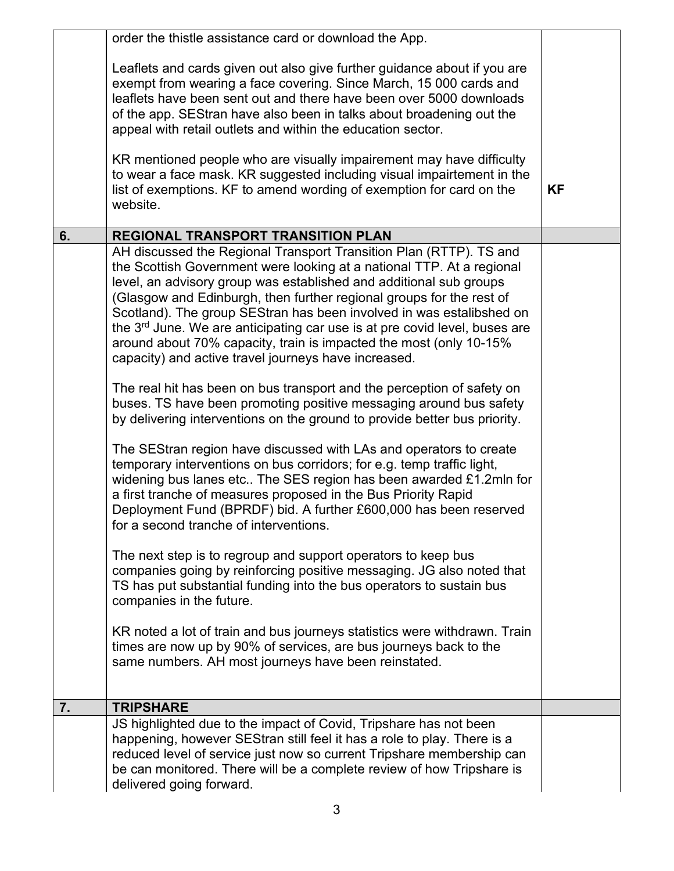|    | order the thistle assistance card or download the App.                                                                                                                                                                                                                                                                                                                                                                                                                                                                                                                                                                                                                                                                                                                                                                                                                                                                                                                                                                                                                                                                                                                                                                                                                                                                                                                                                                                                                                                                                                                                                                                                                                |           |
|----|---------------------------------------------------------------------------------------------------------------------------------------------------------------------------------------------------------------------------------------------------------------------------------------------------------------------------------------------------------------------------------------------------------------------------------------------------------------------------------------------------------------------------------------------------------------------------------------------------------------------------------------------------------------------------------------------------------------------------------------------------------------------------------------------------------------------------------------------------------------------------------------------------------------------------------------------------------------------------------------------------------------------------------------------------------------------------------------------------------------------------------------------------------------------------------------------------------------------------------------------------------------------------------------------------------------------------------------------------------------------------------------------------------------------------------------------------------------------------------------------------------------------------------------------------------------------------------------------------------------------------------------------------------------------------------------|-----------|
|    | Leaflets and cards given out also give further guidance about if you are<br>exempt from wearing a face covering. Since March, 15 000 cards and<br>leaflets have been sent out and there have been over 5000 downloads<br>of the app. SEStran have also been in talks about broadening out the<br>appeal with retail outlets and within the education sector.<br>KR mentioned people who are visually impairement may have difficulty                                                                                                                                                                                                                                                                                                                                                                                                                                                                                                                                                                                                                                                                                                                                                                                                                                                                                                                                                                                                                                                                                                                                                                                                                                                  |           |
|    | to wear a face mask. KR suggested including visual impairtement in the<br>list of exemptions. KF to amend wording of exemption for card on the<br>website.                                                                                                                                                                                                                                                                                                                                                                                                                                                                                                                                                                                                                                                                                                                                                                                                                                                                                                                                                                                                                                                                                                                                                                                                                                                                                                                                                                                                                                                                                                                            | <b>KF</b> |
| 6. | <b>REGIONAL TRANSPORT TRANSITION PLAN</b>                                                                                                                                                                                                                                                                                                                                                                                                                                                                                                                                                                                                                                                                                                                                                                                                                                                                                                                                                                                                                                                                                                                                                                                                                                                                                                                                                                                                                                                                                                                                                                                                                                             |           |
|    | AH discussed the Regional Transport Transition Plan (RTTP). TS and<br>the Scottish Government were looking at a national TTP. At a regional<br>level, an advisory group was established and additional sub groups<br>(Glasgow and Edinburgh, then further regional groups for the rest of<br>Scotland). The group SEStran has been involved in was estalibshed on<br>the 3 <sup>rd</sup> June. We are anticipating car use is at pre covid level, buses are<br>around about 70% capacity, train is impacted the most (only 10-15%<br>capacity) and active travel journeys have increased.<br>The real hit has been on bus transport and the perception of safety on<br>buses. TS have been promoting positive messaging around bus safety<br>by delivering interventions on the ground to provide better bus priority.<br>The SEStran region have discussed with LAs and operators to create<br>temporary interventions on bus corridors; for e.g. temp traffic light,<br>widening bus lanes etc The SES region has been awarded £1.2mln for<br>a first tranche of measures proposed in the Bus Priority Rapid<br>Deployment Fund (BPRDF) bid. A further £600,000 has been reserved<br>for a second tranche of interventions.<br>The next step is to regroup and support operators to keep bus<br>companies going by reinforcing positive messaging. JG also noted that<br>TS has put substantial funding into the bus operators to sustain bus<br>companies in the future.<br>KR noted a lot of train and bus journeys statistics were withdrawn. Train<br>times are now up by 90% of services, are bus journeys back to the<br>same numbers. AH most journeys have been reinstated. |           |
|    |                                                                                                                                                                                                                                                                                                                                                                                                                                                                                                                                                                                                                                                                                                                                                                                                                                                                                                                                                                                                                                                                                                                                                                                                                                                                                                                                                                                                                                                                                                                                                                                                                                                                                       |           |
| 7. | <b>TRIPSHARE</b>                                                                                                                                                                                                                                                                                                                                                                                                                                                                                                                                                                                                                                                                                                                                                                                                                                                                                                                                                                                                                                                                                                                                                                                                                                                                                                                                                                                                                                                                                                                                                                                                                                                                      |           |
|    | JS highlighted due to the impact of Covid, Tripshare has not been                                                                                                                                                                                                                                                                                                                                                                                                                                                                                                                                                                                                                                                                                                                                                                                                                                                                                                                                                                                                                                                                                                                                                                                                                                                                                                                                                                                                                                                                                                                                                                                                                     |           |
|    | happening, however SEStran still feel it has a role to play. There is a<br>reduced level of service just now so current Tripshare membership can<br>be can monitored. There will be a complete review of how Tripshare is<br>delivered going forward.                                                                                                                                                                                                                                                                                                                                                                                                                                                                                                                                                                                                                                                                                                                                                                                                                                                                                                                                                                                                                                                                                                                                                                                                                                                                                                                                                                                                                                 |           |